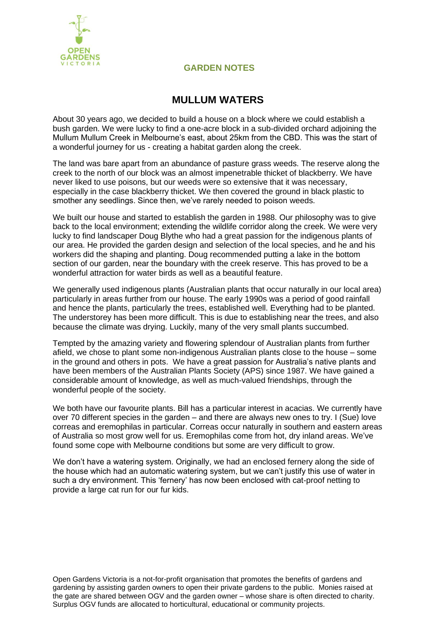

## **GARDEN NOTES**

## **MULLUM WATERS**

About 30 years ago, we decided to build a house on a block where we could establish a bush garden. We were lucky to find a one-acre block in a sub-divided orchard adjoining the Mullum Mullum Creek in Melbourne's east, about 25km from the CBD. This was the start of a wonderful journey for us - creating a habitat garden along the creek.

The land was bare apart from an abundance of pasture grass weeds. The reserve along the creek to the north of our block was an almost impenetrable thicket of blackberry. We have never liked to use poisons, but our weeds were so extensive that it was necessary, especially in the case blackberry thicket. We then covered the ground in black plastic to smother any seedlings. Since then, we've rarely needed to poison weeds.

We built our house and started to establish the garden in 1988. Our philosophy was to give back to the local environment; extending the wildlife corridor along the creek. We were very lucky to find landscaper Doug Blythe who had a great passion for the indigenous plants of our area. He provided the garden design and selection of the local species, and he and his workers did the shaping and planting. Doug recommended putting a lake in the bottom section of our garden, near the boundary with the creek reserve. This has proved to be a wonderful attraction for water birds as well as a beautiful feature.

We generally used indigenous plants (Australian plants that occur naturally in our local area) particularly in areas further from our house. The early 1990s was a period of good rainfall and hence the plants, particularly the trees, established well. Everything had to be planted. The understorey has been more difficult. This is due to establishing near the trees, and also because the climate was drying. Luckily, many of the very small plants succumbed.

Tempted by the amazing variety and flowering splendour of Australian plants from further afield, we chose to plant some non-indigenous Australian plants close to the house – some in the ground and others in pots. We have a great passion for Australia's native plants and have been members of the Australian Plants Society (APS) since 1987. We have gained a considerable amount of knowledge, as well as much-valued friendships, through the wonderful people of the society.

We both have our favourite plants. Bill has a particular interest in acacias. We currently have over 70 different species in the garden – and there are always new ones to try. I (Sue) love correas and eremophilas in particular. Correas occur naturally in southern and eastern areas of Australia so most grow well for us. Eremophilas come from hot, dry inland areas. We've found some cope with Melbourne conditions but some are very difficult to grow.

We don't have a watering system. Originally, we had an enclosed fernery along the side of the house which had an automatic watering system, but we can't justify this use of water in such a dry environment. This 'fernery' has now been enclosed with cat-proof netting to provide a large cat run for our fur kids.

Open Gardens Victoria is a not-for-profit organisation that promotes the benefits of gardens and gardening by assisting garden owners to open their private gardens to the public. Monies raised at the gate are shared between OGV and the garden owner – whose share is often directed to charity. Surplus OGV funds are allocated to horticultural, educational or community projects.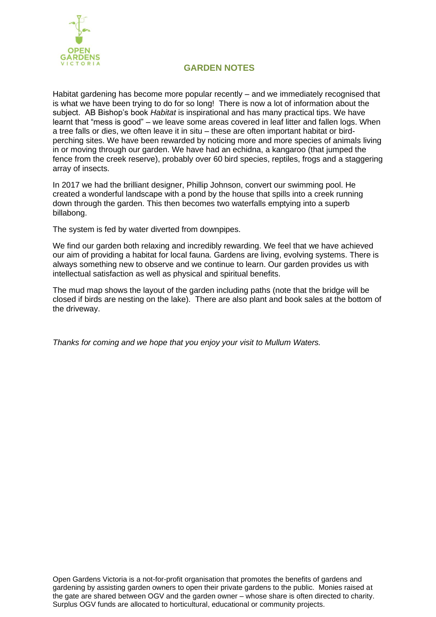

## **GARDEN NOTES**

Habitat gardening has become more popular recently – and we immediately recognised that is what we have been trying to do for so long! There is now a lot of information about the subject. AB Bishop's book *Habitat* is inspirational and has many practical tips. We have learnt that "mess is good" – we leave some areas covered in leaf litter and fallen logs. When a tree falls or dies, we often leave it in situ – these are often important habitat or birdperching sites. We have been rewarded by noticing more and more species of animals living in or moving through our garden. We have had an echidna, a kangaroo (that jumped the fence from the creek reserve), probably over 60 bird species, reptiles, frogs and a staggering array of insects.

In 2017 we had the brilliant designer, Phillip Johnson, convert our swimming pool. He created a wonderful landscape with a pond by the house that spills into a creek running down through the garden. This then becomes two waterfalls emptying into a superb billabong.

The system is fed by water diverted from downpipes.

We find our garden both relaxing and incredibly rewarding. We feel that we have achieved our aim of providing a habitat for local fauna. Gardens are living, evolving systems. There is always something new to observe and we continue to learn. Our garden provides us with intellectual satisfaction as well as physical and spiritual benefits.

The mud map shows the layout of the garden including paths (note that the bridge will be closed if birds are nesting on the lake). There are also plant and book sales at the bottom of the driveway.

*Thanks for coming and we hope that you enjoy your visit to Mullum Waters.*

Open Gardens Victoria is a not-for-profit organisation that promotes the benefits of gardens and gardening by assisting garden owners to open their private gardens to the public. Monies raised at the gate are shared between OGV and the garden owner – whose share is often directed to charity. Surplus OGV funds are allocated to horticultural, educational or community projects.